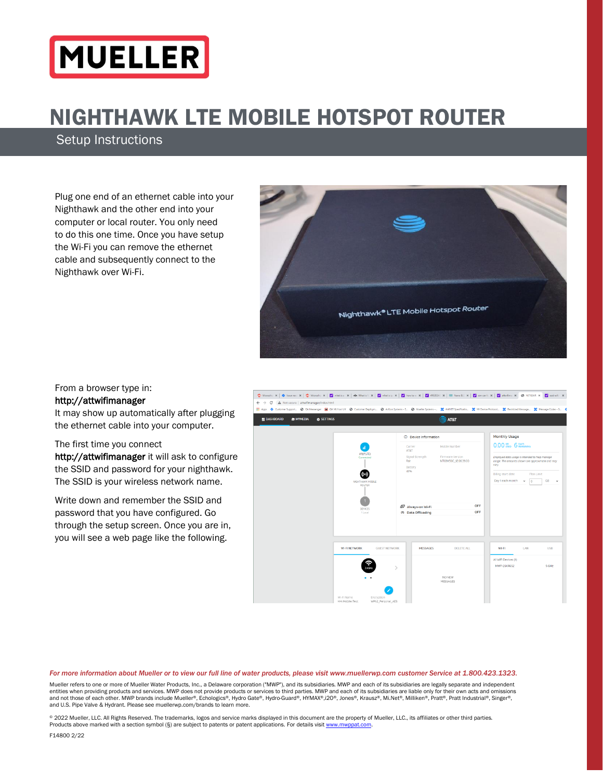# MUELLER

# NIGHTHAWK LTE MOBILE HOTSPOT ROUTER

Setup Instructions

Plug one end of an ethernet cable into your Nighthawk and the other end into your computer or local router. You only need to do this one time. Once you have setup the Wi-Fi you can remove the ethernet cable and subsequently connect to the Nighthawk over Wi-Fi.



# From a browser type in:

#### http://attwifimanager

It may show up automatically after plugging the ethernet cable into your computer.

#### The first time you connect

http://attwifimanager it will ask to configure the SSID and password for your nighthawk. The SSID is your wireless network name.

Write down and remember the SSID and password that you have configured. Go through the setup screen. Once you are in, you will see a web page like the following.



*For more information about Mueller or to view our full line of water products, please visit www.muellerwp.com customer Service at 1.800.423.1323.*

Mueller refers to one or more of Mueller Water Products, Inc., a Delaware corporation ("MWP"), and its subsidiaries. MWP and each of its subsidiaries are legally separate and independent entities when providing products and services. MWP does not provide products or services to third parties. MWP and each of its subsidiaries are liable only for their own acts and omissions and not those of each other. MWP brands include Mueller®, Echologics®, Hydro Gate®, Hydro-Guard®, HYMAX®,i2O®, Jones®, Krausz®, Mi.Net®, Milliken®, Pratt®, Pratt Industrial®, Singer®, and U.S. Pipe Valve & Hydrant. Please see muellerwp.com/brands to learn more.

© 2022 Mueller, LLC. All Rights Reserved. The trademarks, logos and service marks displayed in this document are the property of Mueller, LLC., its affiliates or other third parties. Products above marked with a section symbol (§) are subject to patents or patent applications. For details visit www.m